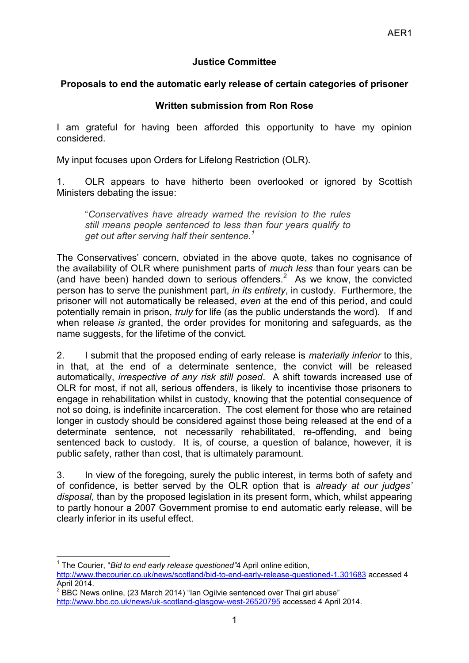## **Justice Committee**

## **Proposals to end the automatic early release of certain categories of prisoner**

## **Written submission from Ron Rose**

I am grateful for having been afforded this opportunity to have my opinion considered.

My input focuses upon Orders for Lifelong Restriction (OLR).

1. OLR appears to have hitherto been overlooked or ignored by Scottish Ministers debating the issue:

"*Conservatives have already warned the revision to the rules still means people sentenced to less than four years qualify to get out after serving half their sentence.<sup>1</sup>*

The Conservatives' concern, obviated in the above quote, takes no cognisance of the availability of OLR where punishment parts of *much less* than four years can be (and have been) handed down to serious offenders.<sup>2</sup> As we know, the convicted person has to serve the punishment part, *in its entirety*, in custody. Furthermore, the prisoner will not automatically be released, *even* at the end of this period, and could potentially remain in prison, *truly* for life (as the public understands the word). If and when release *is* granted, the order provides for monitoring and safeguards, as the name suggests, for the lifetime of the convict.

2. I submit that the proposed ending of early release is *materially inferior* to this, in that, at the end of a determinate sentence, the convict will be released automatically, *irrespective of any risk still posed*. A shift towards increased use of OLR for most, if not all, serious offenders, is likely to incentivise those prisoners to engage in rehabilitation whilst in custody, knowing that the potential consequence of not so doing, is indefinite incarceration. The cost element for those who are retained longer in custody should be considered against those being released at the end of a determinate sentence, not necessarily rehabilitated, re-offending, and being sentenced back to custody. It is, of course, a question of balance, however, it is public safety, rather than cost, that is ultimately paramount.

3. In view of the foregoing, surely the public interest, in terms both of safety and of confidence, is better served by the OLR option that is *already at our judges' disposal*, than by the proposed legislation in its present form, which, whilst appearing to partly honour a 2007 Government promise to end automatic early release, will be clearly inferior in its useful effect.

**.** <sup>1</sup> The Courier, "Bid to end early release questioned"4 April online edition, <http://www.thecourier.co.uk/news/scotland/bid-to-end-early-release-questioned-1.301683> accessed 4 April 2014.

 $2^{2}$  BBC News online, (23 March 2014) "Ian Ogilvie sentenced over Thai girl abuse" <http://www.bbc.co.uk/news/uk-scotland-glasgow-west-26520795> accessed 4 April 2014.